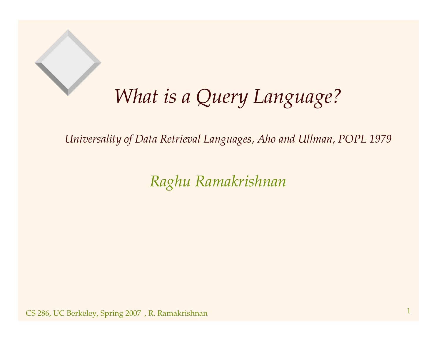#### *What is aQuery Language?*

*Universality of Data Retrieval Languages, Aho and Ullman, POPL 1979*

*Raghu Ramakrishnan*

 $\text{CS}$  286, UC Berkeley, Spring 2007), R. Ramakrishnan 1  $1$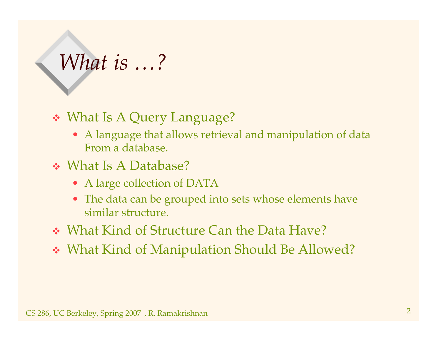## *What is …?*

#### What Is <sup>A</sup> Query Language?

- A language that allows retrieval and manipulation of data From <sup>a</sup> database.
- What Is A Database?
	- A large collection of DATA
	- The data can be grouped into sets whose elements have similar structure.
- What Kind of Structure Can the Data Have?
- What Kind of Manipulation Should Be Allowed?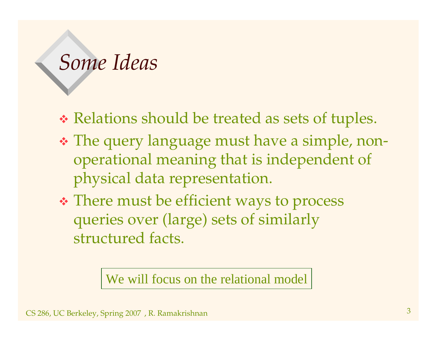#### *Some Ideas*

- Relations should be treated as sets of tuples.
- The query language must have <sup>a</sup> simple, nonoperational meaning that is independent of physical data representation.
- There must be efficient ways to process queries over (large) sets of similarly structured facts.

We will focus on the relational model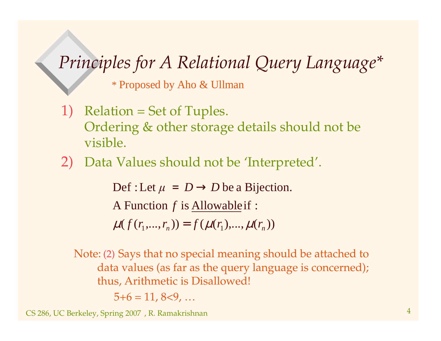#### *Principles for A Relational Query Language\**

\* Proposed by Aho & Ullman

1) Relation <sup>=</sup> Set of Tuples. Ordering & other storage details should not be visible.

#### 2) Data Values should not be 'Interpreted'.

A Function f is <u>Allowable</u> if : Def : Let  $\mu = D \rightarrow D$  be a Bijection.

 $\mu(f(r_1,...,r_n)) = f(\mu(r_1),...,\mu(r_n))$ 

Note: (2) Says that no special meaning should be attached to data values (as far as the query language is concerned); thus, Arithmetic is Disallowed!

 $5+6 = 11, 8<9, ...$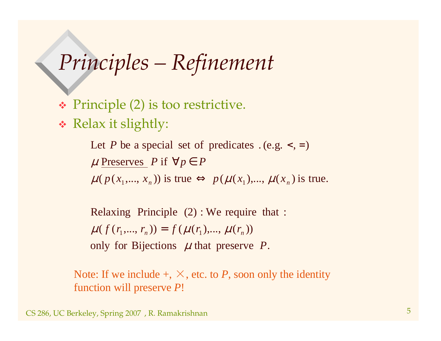## *Principles – Refinement*

Principle (2) is too restrictive.

Relax it slightly:

 $\mu(p(x_1,...,x_n))$  is true  $\Leftrightarrow p(\mu(x_1),..., \mu(x_n))$  is true.  $\mu$  Preserves *P* if  $\forall p \in P$ Let P be a special set of predicates  $(e.g. <, =)$ 

only for Bijections  $\mu$  that preserve  $P$ .  $\mu(f(r_1,...,r_n)) = f(\mu(r_1),...,\mu(r_n))$ Relaxing Principle (2) : We require that :

Note: If we include  $+,\times,$  etc. to *P*, soon only the identity function will preserve *P*!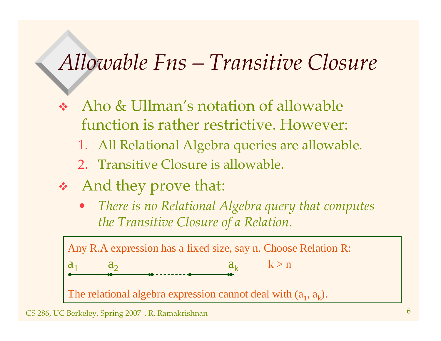#### *Allowable Fns – Transitive Closure*

- $\frac{\partial}{\partial x^i}$  Aho & Ullman's notation of allowable function is rather restrictive. However:
	- 1. All Relational Algebra queries are allowable.
	- 2. Transitive Closure is allowable.
- And they prove that:
	- • *There is no Relational Algebra query that computes the Transitive Closure of <sup>a</sup> Relation.*

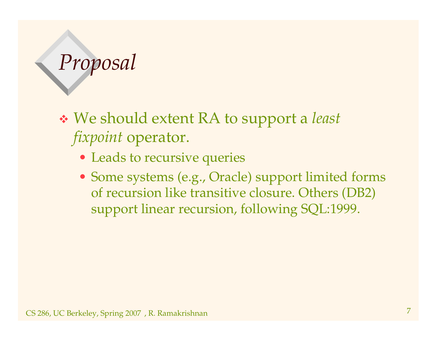## *Proposal*

 We should extent RA to suppor<sup>t</sup> <sup>a</sup> *least fixpoint* operator.

- Leads to recursive queries
- Some systems (e.g., Oracle) suppor<sup>t</sup> limited forms of recursion like transitive closure. Others (DB2) suppor<sup>t</sup> linear recursion, following SQL:1999.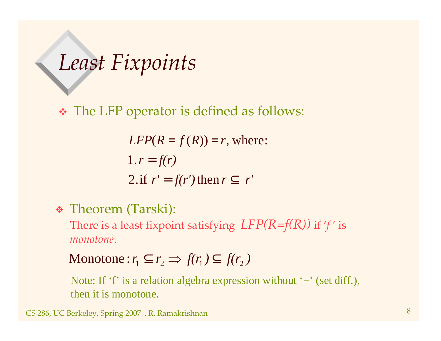*Least Fixpoints*

The LFP operator is defined as follows:

$$
LFP(R = f(R)) = r, \text{ where:}
$$
  
1.  $r = f(r)$   
2. if  $r' = f(r')$  then  $r \subseteq r'$ 

Theorem (Tarski):

There is <sup>a</sup> least fixpoint satisfying *LFP(R=f(R))* if '*f* ' is *monotone*.

Monotone: 
$$
r_1 \subseteq r_2 \Rightarrow f(r_1) \subseteq f(r_2)
$$

Note: If 'f' is a relation algebra expression without '−' (set diff.), then it is monotone.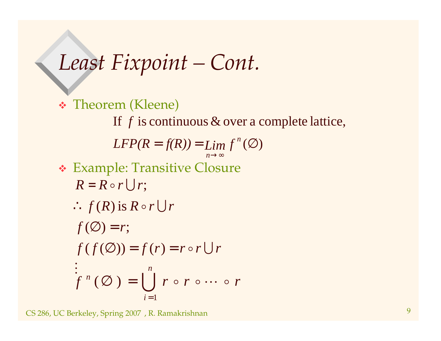*Least Fixpoint – Cont.*

 Theorem (Kleene)  $LFP(R = f(R)) = Lim f^{n}(\emptyset)$ If  $f$  is continuous  $\&$  over a complete lattice, →∞*n* Example: Transitive Closure  $\ddot{\cdot}$  $f(f(\emptyset)) = f(r) = r \circ r \cup r$  $\therefore f(R)$  is  $R \circ r \cup r$  $R = R \circ r \bigcup r;$  $f(\emptyset) = r;$  $\bigcup$   $r \circ r \circ \cdots \circ$ *n*  $i=1$  $f^{n}\left(\varnothing\right)=\bigcup\; r\mathrel{\circ} r\mathrel{\circ}\cdots\mathrel{\circ} r$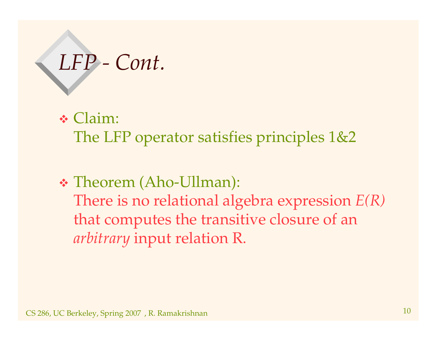# *LFP - Cont.*

Claim:

The LFP operator satisfies principles 1&2

 Theorem (Aho-Ullman): There is no relational algebra expression *E(R)* that computes the transitive closure of an *arbitrary* input relation R.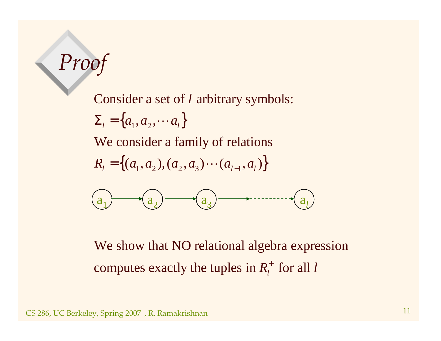### *Proof*

Consider a set of *l* arbitrary symbols:

 $\Sigma_{l} = \big\{a_{1}, a_{2}, \cdots a_{l}\big\}$ 

We consider <sup>a</sup> family of relations

$$
R_{l} = \{(a_{1}, a_{2}), (a_{2}, a_{3}) \cdots (a_{l-1}, a_{l})\}
$$



We show that NO relational algebra expression computes exactly the tuples in  $R_t^+$  for all  $\frac{1}{\iota}$  for all l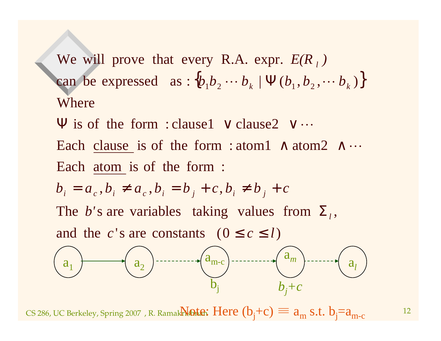can be expressed as :  $\{b_1b_2\cdots b_k \mid \Psi(b_1, b_2, \cdots b_k)\}$ WhereWe will prove that every R.A. expr.  $E(R_i)$ 

Each atom is of the form : Each clause is of the form : atom1  $\land$  atom2  $\land \cdots$  $\Psi$  is of the form : clause1  $\vee$  clause2  $\vee \cdots$ 

$$
b_i = a_c, b_i \neq a_c, b_i = b_j + c, b_i \neq b_j + c
$$

The b's are variables taking values from  $\Sigma_i$ ,

and the c's are constants  $(0 \le c \le l)$ 



CS 286, UC Berkeley, Spring 2007), R. Ramak**rishtan**  $Here$  $(b_j+c)\equiv a_m\ s.t.$  $b_j=a_{m\text{-}c}$  and  $a_j$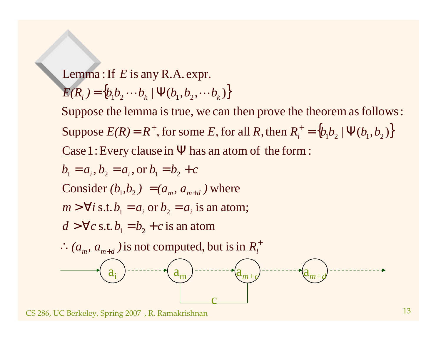$\{b_1b_2\cdots b_k \mid \Psi(b_1, b_2, \cdots b_k)\}$  $Lemma$  : If  $E$  is any R.A.expr.

 $E(R_i) = \{b_1 b_2 \cdots b_k \mid \Psi(b_1, b_2, \cdots b_k)\}$ 

Suppose  $E(R) = R^+$ , for some E, for all R, then  $R_l^+ = \{b_1b_2 \mid \Psi(b_1, b_2)\}$  $\overline{\text{Case} \, 1}$  : Every clause in  $\Psi$  has an atom of the form : Suppose the lemma is true, we can then prove the theorem as follows:

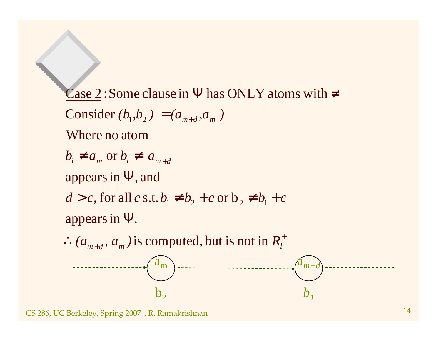+  $\therefore$   $(a_{m+d}, a_m)$  is computed, but is not in  $R_l$  $b_i \neq a_m$  or  $b_i \neq a_{m+d}$ +appears in  $\Psi$ .  $d > c$ , for all  $c$  s.t.  $b_1 \neq b_2 + c$  or  $b_2 \neq b_1 + c$ appears in  $\Psi,$  and  $Consider (b_1, b_2) = (a_{m+d}, a_m)$ Case 2 : Some clause in  $\Psi$  has ONLY atoms with  $\neq$ Where no atom $\rm a_m$  $\rm b_2$ <sup>a</sup>*m+db1*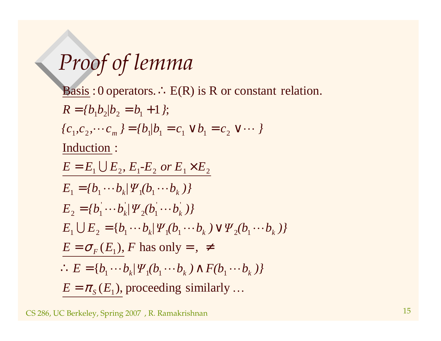## *Proof of lemma*

 $E = \pi_s(E_1)$ , proceeding similarly...  $\therefore E = \{b_1 \cdots b_k \mid \Psi_1(b_1 \cdots b_k) \wedge F(b_1 \cdots b_k) \}$  $E_1 \cup E_2 = \{b_1 \cdots b_k / \Psi_1(b_1 \cdots b_k) \vee \Psi_2(b_1 \cdots b_k)\}$  $\cdots$   $U_L$   $T_2$   $U_1$   $\cdots$  $E_1 = \{b_1 \cdots b_k | \Psi_1(b_1 \cdots b_k) \}$  $E = E_1 \bigcup E_2, \, E_1\text{-}E_2 \, \, or \, E_1 \!\times\! E_2$  ${c_1, c_2, \cdots c_m} = {b_1/b_1 = c_1 \vee b_1 = c_2 \vee \cdots }$  $E = \sigma_F(E_1)$ , F has only = ,  $\neq$ Induction :  $R = \{b_1b_2/b_2 = b_1 + 1\};$ Basis : 0 operators.  $\therefore$  E(R) is R or constant relation.  $'$   $\mathbf{1}'$  $2(V)$  $\mathbf{v} = \mathbf{v}$  $E_2 = \{b_1 \cdots b_k | \Psi_2(b_1 \cdots b_k) \}$  $=$   $\{b_1/b_1 = c_1 \vee b_1 = c_2 \vee c_2$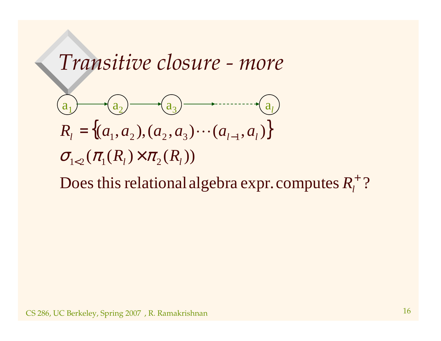#### *Transitive closure - more*



Does this relational algebra expr. computes  $R_t^+$  ?  $R_l^{\cdot}$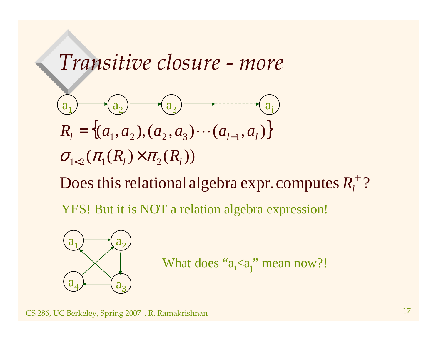#### *Transitive closure - more*

$$
(a_1) \t\t (a_2) \t (a_3) \t (a_1, a_2) \t (a_3) \t (a_{l-1}, a_l)
$$
  

$$
R_l = \{(a_1, a_2), (a_2, a_3) \cdots (a_{l-1}, a_l)\}
$$
  

$$
\sigma_{l \lt 2}(\pi_1(R_l) \times \pi_2(R_l))
$$

Does this relational algebra expr. computes  $R_t^+$  ?  $R_l^{\cdot}$ 

YES! But it is NOT <sup>a</sup> relation algebra expression!



What does " $a_i$ < $a_j$ " mean now?!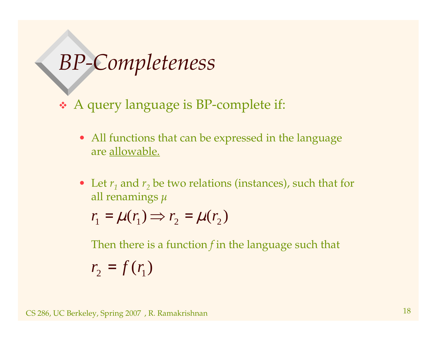#### *BP-Completeness*

<sup>A</sup> query language is BP-complete if:

- All functions that can be expressed in the language are allowable.
- Let  $r_1$  and  $r_2$  be two relations (instances), such that for all renamings

 $r_1 = \mu(r_1) \Rightarrow r_2 = \mu(r_2)$ 

Then there is <sup>a</sup> function *f* in the language such that

 $r_2 = f(r_1)$